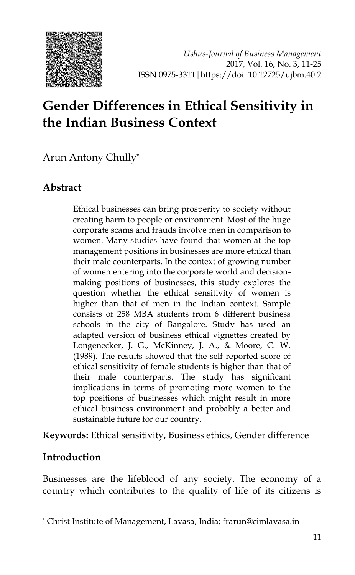

# **Gender Differences in Ethical Sensitivity in the Indian Business Context**

Arun Antony Chully\*

#### **Abstract**

Ethical businesses can bring prosperity to society without creating harm to people or environment. Most of the huge corporate scams and frauds involve men in comparison to women. Many studies have found that women at the top management positions in businesses are more ethical than their male counterparts. In the context of growing number of women entering into the corporate world and decisionmaking positions of businesses, this study explores the question whether the ethical sensitivity of women is higher than that of men in the Indian context. Sample consists of 258 MBA students from 6 different business schools in the city of Bangalore. Study has used an adapted version of business ethical vignettes created by Longenecker, J. G., McKinney, J. A., & Moore, C. W. (1989). The results showed that the self-reported score of ethical sensitivity of female students is higher than that of their male counterparts. The study has significant implications in terms of promoting more women to the top positions of businesses which might result in more ethical business environment and probably a better and sustainable future for our country.

**Keywords:** Ethical sensitivity, Business ethics, Gender difference

#### **Introduction**

-

Businesses are the lifeblood of any society. The economy of a country which contributes to the quality of life of its citizens is

<sup>\*</sup> Christ Institute of Management, Lavasa, India; frarun@cimlavasa.in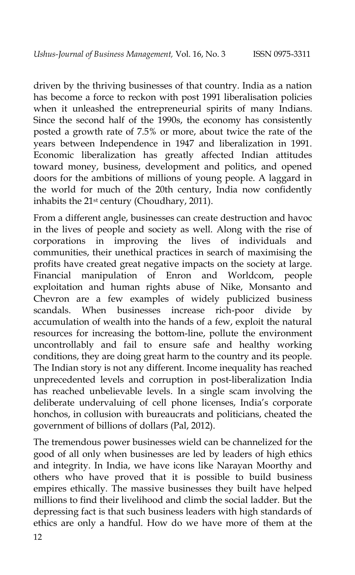driven by the thriving businesses of that country. India as a nation has become a force to reckon with post 1991 liberalisation policies when it unleashed the entrepreneurial spirits of many Indians. Since the second half of the 1990s, the economy has consistently posted a growth rate of 7.5% or more, about twice the rate of the years between Independence in 1947 and liberalization in 1991. Economic liberalization has greatly affected Indian attitudes toward money, business, development and politics, and opened doors for the ambitions of millions of young people. A laggard in the world for much of the 20th century, India now confidently inhabits the 21st century (Choudhary, 2011).

From a different angle, businesses can create destruction and havoc in the lives of people and society as well. Along with the rise of corporations in improving the lives of individuals and communities, their unethical practices in search of maximising the profits have created great negative impacts on the society at large. Financial manipulation of Enron and Worldcom, people exploitation and human rights abuse of Nike, Monsanto and Chevron are a few examples of widely publicized business scandals. When businesses increase rich-poor divide by accumulation of wealth into the hands of a few, exploit the natural resources for increasing the bottom-line, pollute the environment uncontrollably and fail to ensure safe and healthy working conditions, they are doing great harm to the country and its people. The Indian story is not any different. Income inequality has reached unprecedented levels and corruption in post-liberalization India has reached unbelievable levels. In a single scam involving the deliberate undervaluing of cell phone licenses, India"s corporate honchos, in collusion with bureaucrats and politicians, cheated the government of billions of dollars (Pal, 2012).

The tremendous power businesses wield can be channelized for the good of all only when businesses are led by leaders of high ethics and integrity. In India, we have icons like Narayan Moorthy and others who have proved that it is possible to build business empires ethically. The massive businesses they built have helped millions to find their livelihood and climb the social ladder. But the depressing fact is that such business leaders with high standards of ethics are only a handful. How do we have more of them at the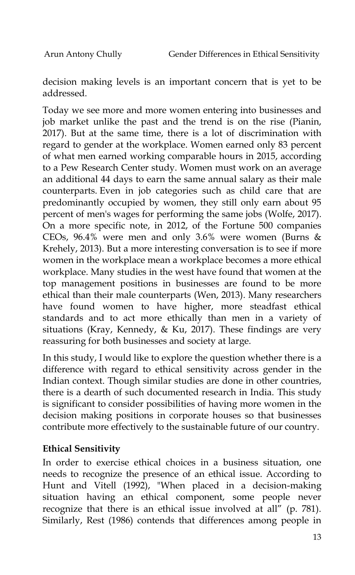decision making levels is an important concern that is yet to be addressed.

Today we see more and more women entering into businesses and job market unlike the past and the trend is on the rise (Pianin, 2017). But at the same time, there is a lot of discrimination with regard to gender at the workplace. Women earned only 83 percent of what men earned working comparable hours in 2015, according to a Pew Research Center study. Women must work on an average an additional 44 days to earn the same annual salary as their male counterparts. Even in job categories such as child care that are predominantly occupied by women, they still only earn about 95 percent of men's wages for performing the same jobs (Wolfe, 2017). On a more specific note, in 2012, of the Fortune 500 companies CEOs, 96.4% were men and only 3.6% were women (Burns & Krehely, 2013). But a more interesting conversation is to see if more women in the workplace mean a workplace becomes a more ethical workplace. Many studies in the west have found that women at the top management positions in businesses are found to be more ethical than their male counterparts (Wen, 2013). Many researchers have found women to have higher, more steadfast ethical standards and to act more ethically than men in a variety of situations (Kray, Kennedy, & Ku, 2017). These findings are very reassuring for both businesses and society at large.

In this study, I would like to explore the question whether there is a difference with regard to ethical sensitivity across gender in the Indian context. Though similar studies are done in other countries, there is a dearth of such documented research in India. This study is significant to consider possibilities of having more women in the decision making positions in corporate houses so that businesses contribute more effectively to the sustainable future of our country.

#### **Ethical Sensitivity**

In order to exercise ethical choices in a business situation, one needs to recognize the presence of an ethical issue. According to Hunt and Vitell (1992), "When placed in a decision-making situation having an ethical component, some people never recognize that there is an ethical issue involved at all" (p. 781). Similarly, Rest (1986) contends that differences among people in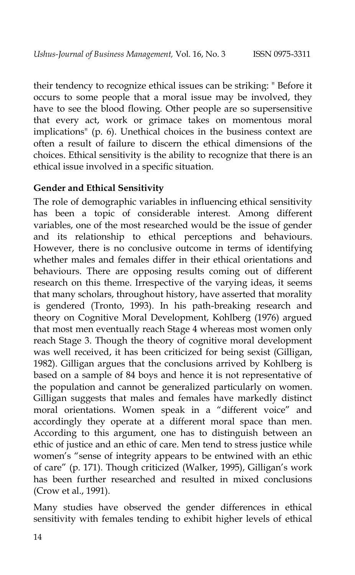their tendency to recognize ethical issues can be striking: " Before it occurs to some people that a moral issue may be involved, they have to see the blood flowing. Other people are so supersensitive that every act, work or grimace takes on momentous moral implications" (p. 6). Unethical choices in the business context are often a result of failure to discern the ethical dimensions of the choices. Ethical sensitivity is the ability to recognize that there is an ethical issue involved in a specific situation.

#### **Gender and Ethical Sensitivity**

The role of demographic variables in influencing ethical sensitivity has been a topic of considerable interest. Among different variables, one of the most researched would be the issue of gender and its relationship to ethical perceptions and behaviours. However, there is no conclusive outcome in terms of identifying whether males and females differ in their ethical orientations and behaviours. There are opposing results coming out of different research on this theme. Irrespective of the varying ideas, it seems that many scholars, throughout history, have asserted that morality is gendered (Tronto, 1993). In his path-breaking research and theory on Cognitive Moral Development, Kohlberg (1976) argued that most men eventually reach Stage 4 whereas most women only reach Stage 3. Though the theory of cognitive moral development was well received, it has been criticized for being sexist (Gilligan, 1982). Gilligan argues that the conclusions arrived by Kohlberg is based on a sample of 84 boys and hence it is not representative of the population and cannot be generalized particularly on women. Gilligan suggests that males and females have markedly distinct moral orientations. Women speak in a "different voice" and accordingly they operate at a different moral space than men. According to this argument, one has to distinguish between an ethic of justice and an ethic of care. Men tend to stress justice while women's "sense of integrity appears to be entwined with an ethic of care" (p. 171). Though criticized (Walker, 1995), Gilligan"s work has been further researched and resulted in mixed conclusions (Crow et al., 1991).

Many studies have observed the gender differences in ethical sensitivity with females tending to exhibit higher levels of ethical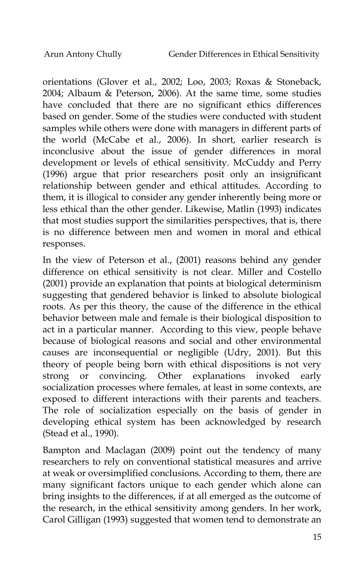orientations (Glover et al., 2002; Loo, 2003; Roxas & Stoneback, 2004; Albaum & Peterson, 2006). At the same time, some studies have concluded that there are no significant ethics differences based on gender. Some of the studies were conducted with student samples while others were done with managers in different parts of the world (McCabe et al., 2006). In short, earlier research is inconclusive about the issue of gender differences in moral development or levels of ethical sensitivity. McCuddy and Perry (1996) argue that prior researchers posit only an insignificant relationship between gender and ethical attitudes. According to them, it is illogical to consider any gender inherently being more or less ethical than the other gender. Likewise, Matlin (1993) indicates that most studies support the similarities perspectives, that is, there is no difference between men and women in moral and ethical responses.

In the view of Peterson et al., (2001) reasons behind any gender difference on ethical sensitivity is not clear. Miller and Costello (2001) provide an explanation that points at biological determinism suggesting that gendered behavior is linked to absolute biological roots. As per this theory, the cause of the difference in the ethical behavior between male and female is their biological disposition to act in a particular manner. According to this view, people behave because of biological reasons and social and other environmental causes are inconsequential or negligible (Udry, 2001). But this theory of people being born with ethical dispositions is not very strong or convincing. Other explanations invoked early socialization processes where females, at least in some contexts, are exposed to different interactions with their parents and teachers. The role of socialization especially on the basis of gender in developing ethical system has been acknowledged by research (Stead et al., 1990).

Bampton and Maclagan (2009) point out the tendency of many researchers to rely on conventional statistical measures and arrive at weak or oversimplified conclusions. According to them, there are many significant factors unique to each gender which alone can bring insights to the differences, if at all emerged as the outcome of the research, in the ethical sensitivity among genders. In her work, Carol Gilligan (1993) suggested that women tend to demonstrate an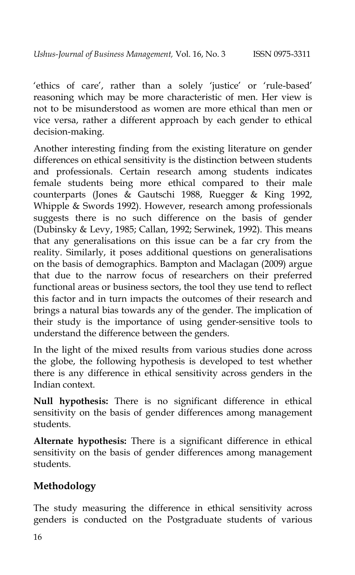'ethics of care', rather than a solely 'justice' or 'rule-based' reasoning which may be more characteristic of men. Her view is not to be misunderstood as women are more ethical than men or vice versa, rather a different approach by each gender to ethical decision-making.

Another interesting finding from the existing literature on gender differences on ethical sensitivity is the distinction between students and professionals. Certain research among students indicates female students being more ethical compared to their male counterparts (Jones & Gautschi 1988, Ruegger & King 1992, Whipple & Swords 1992). However, research among professionals suggests there is no such difference on the basis of gender (Dubinsky & Levy, 1985; Callan, 1992; Serwinek, 1992). This means that any generalisations on this issue can be a far cry from the reality. Similarly, it poses additional questions on generalisations on the basis of demographics. Bampton and Maclagan (2009) argue that due to the narrow focus of researchers on their preferred functional areas or business sectors, the tool they use tend to reflect this factor and in turn impacts the outcomes of their research and brings a natural bias towards any of the gender. The implication of their study is the importance of using gender-sensitive tools to understand the difference between the genders.

In the light of the mixed results from various studies done across the globe, the following hypothesis is developed to test whether there is any difference in ethical sensitivity across genders in the Indian context.

**Null hypothesis:** There is no significant difference in ethical sensitivity on the basis of gender differences among management students.

**Alternate hypothesis:** There is a significant difference in ethical sensitivity on the basis of gender differences among management students.

## **Methodology**

The study measuring the difference in ethical sensitivity across genders is conducted on the Postgraduate students of various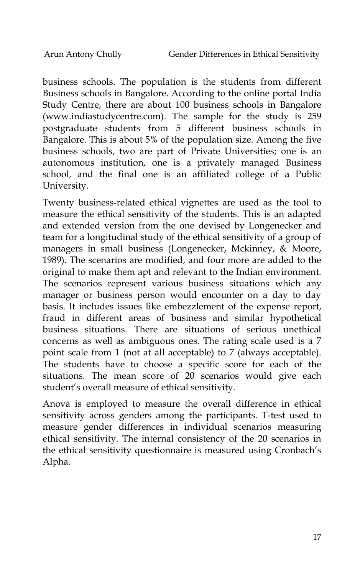business schools. The population is the students from different Business schools in Bangalore. According to the online portal India Study Centre, there are about 100 business schools in Bangalore (www.indiastudycentre.com). The sample for the study is 259 postgraduate students from 5 different business schools in Bangalore. This is about 5% of the population size. Among the five business schools, two are part of Private Universities; one is an autonomous institution, one is a privately managed Business school, and the final one is an affiliated college of a Public University.

Twenty business-related ethical vignettes are used as the tool to measure the ethical sensitivity of the students. This is an adapted and extended version from the one devised by Longenecker and team for a longitudinal study of the ethical sensitivity of a group of managers in small business (Longenecker, Mckinney, & Moore, 1989). The scenarios are modified, and four more are added to the original to make them apt and relevant to the Indian environment. The scenarios represent various business situations which any manager or business person would encounter on a day to day basis. It includes issues like embezzlement of the expense report, fraud in different areas of business and similar hypothetical business situations. There are situations of serious unethical concerns as well as ambiguous ones. The rating scale used is a 7 point scale from 1 (not at all acceptable) to 7 (always acceptable). The students have to choose a specific score for each of the situations. The mean score of 20 scenarios would give each student"s overall measure of ethical sensitivity.

Anova is employed to measure the overall difference in ethical sensitivity across genders among the participants. T-test used to measure gender differences in individual scenarios measuring ethical sensitivity. The internal consistency of the 20 scenarios in the ethical sensitivity questionnaire is measured using Cronbach"s Alpha.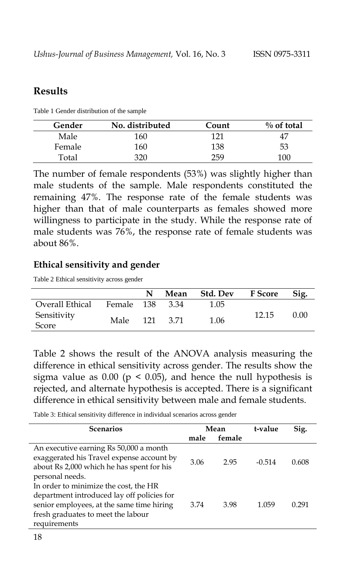#### **Results**

Table 1 Gender distribution of the sample

| Gender | No. distributed | Count | $\%$ of total |
|--------|-----------------|-------|---------------|
| Male   | 160             | 171   | $4^{\prime}$  |
| Female | 160             | 138   | 53            |
| Total  | 320             | 259   | 100           |

The number of female respondents (53%) was slightly higher than male students of the sample. Male respondents constituted the remaining 47%. The response rate of the female students was higher than that of male counterparts as females showed more willingness to participate in the study. While the response rate of male students was 76%, the response rate of female students was about 86%.

#### **Ethical sensitivity and gender**

Table 2 Ethical sensitivity across gender

|                      |                 |  | Mean Std. Dev F Score |       | Sig. |
|----------------------|-----------------|--|-----------------------|-------|------|
| Overall Ethical      | Female 138 3.34 |  | 1.05                  |       |      |
| Sensitivity<br>Score | Male 121 3.71   |  | 1.06                  | 12.15 | 0.00 |

Table 2 shows the result of the ANOVA analysis measuring the difference in ethical sensitivity across gender. The results show the sigma value as  $0.00$  ( $p < 0.05$ ), and hence the null hypothesis is rejected, and alternate hypothesis is accepted. There is a significant difference in ethical sensitivity between male and female students.

Table 3: Ethical sensitivity difference in individual scenarios across gender

| <b>Scenarios</b>                           | Mean |        | t-value  | Sig.  |
|--------------------------------------------|------|--------|----------|-------|
|                                            | male | female |          |       |
| An executive earning Rs 50,000 a month     |      |        |          |       |
| exaggerated his Travel expense account by  | 3.06 | 2.95   | $-0.514$ | 0.608 |
| about Rs 2,000 which he has spent for his  |      |        |          |       |
| personal needs.                            |      |        |          |       |
| In order to minimize the cost, the HR      |      |        |          |       |
| department introduced lay off policies for |      |        |          |       |
| senior employees, at the same time hiring  | 3.74 | 3.98   | 1.059    | 0.291 |
| fresh graduates to meet the labour         |      |        |          |       |
| requirements                               |      |        |          |       |
|                                            |      |        |          |       |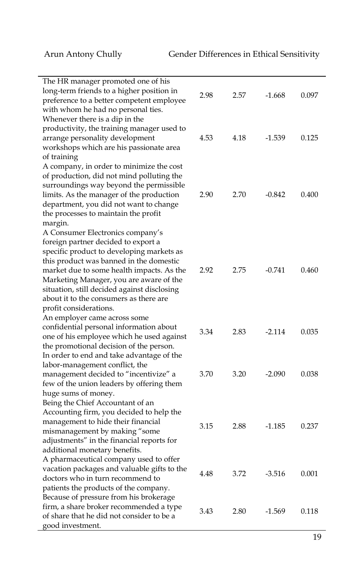| The HR manager promoted one of his<br>long-term friends to a higher position in<br>preference to a better competent employee<br>with whom he had no personal ties.                                                                                                                                                                                                         | 2.98 | 2.57 | $-1.668$ | 0.097 |
|----------------------------------------------------------------------------------------------------------------------------------------------------------------------------------------------------------------------------------------------------------------------------------------------------------------------------------------------------------------------------|------|------|----------|-------|
| Whenever there is a dip in the<br>productivity, the training manager used to<br>arrange personality development<br>workshops which are his passionate area                                                                                                                                                                                                                 | 4.53 | 4.18 | $-1.539$ | 0.125 |
| of training<br>A company, in order to minimize the cost<br>of production, did not mind polluting the<br>surroundings way beyond the permissible<br>limits. As the manager of the production<br>department, you did not want to change<br>the processes to maintain the profit<br>margin.                                                                                   | 2.90 | 2.70 | $-0.842$ | 0.400 |
| A Consumer Electronics company's<br>foreign partner decided to export a<br>specific product to developing markets as<br>this product was banned in the domestic<br>market due to some health impacts. As the<br>Marketing Manager, you are aware of the<br>situation, still decided against disclosing<br>about it to the consumers as there are<br>profit considerations. | 2.92 | 2.75 | $-0.741$ | 0.460 |
| An employer came across some<br>confidential personal information about<br>one of his employee which he used against<br>the promotional decision of the person.                                                                                                                                                                                                            | 3.34 | 2.83 | $-2.114$ | 0.035 |
| In order to end and take advantage of the<br>labor-management conflict, the<br>management decided to "incentivize" a<br>few of the union leaders by offering them<br>huge sums of money.                                                                                                                                                                                   | 3.70 | 3.20 | $-2.090$ | 0.038 |
| Being the Chief Accountant of an<br>Accounting firm, you decided to help the<br>management to hide their financial<br>mismanagement by making "some<br>adjustments" in the financial reports for<br>additional monetary benefits.                                                                                                                                          | 3.15 | 2.88 | $-1.185$ | 0.237 |
| A pharmaceutical company used to offer<br>vacation packages and valuable gifts to the<br>doctors who in turn recommend to<br>patients the products of the company.                                                                                                                                                                                                         | 4.48 | 3.72 | $-3.516$ | 0.001 |
| Because of pressure from his brokerage<br>firm, a share broker recommended a type<br>of share that he did not consider to be a<br>good investment.                                                                                                                                                                                                                         | 3.43 | 2.80 | $-1.569$ | 0.118 |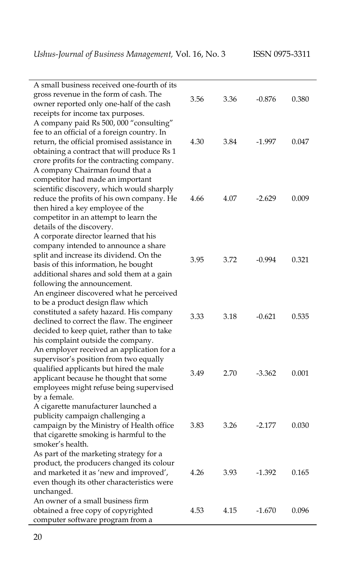| A small business received one-fourth of its<br>gross revenue in the form of cash. The<br>owner reported only one-half of the cash<br>receipts for income tax purposes.                                                                                                | 3.56 | 3.36 | $-0.876$ | 0.380 |
|-----------------------------------------------------------------------------------------------------------------------------------------------------------------------------------------------------------------------------------------------------------------------|------|------|----------|-------|
| A company paid Rs 500, 000 "consulting"<br>fee to an official of a foreign country. In<br>return, the official promised assistance in<br>obtaining a contract that will produce Rs 1<br>crore profits for the contracting company.<br>A company Chairman found that a | 4.30 | 3.84 | -1.997   | 0.047 |
| competitor had made an important<br>scientific discovery, which would sharply<br>reduce the profits of his own company. He<br>then hired a key employee of the<br>competitor in an attempt to learn the<br>details of the discovery.                                  | 4.66 | 4.07 | $-2.629$ | 0.009 |
| A corporate director learned that his<br>company intended to announce a share<br>split and increase its dividend. On the<br>basis of this information, he bought<br>additional shares and sold them at a gain<br>following the announcement.                          | 3.95 | 3.72 | $-0.994$ | 0.321 |
| An engineer discovered what he perceived<br>to be a product design flaw which<br>constituted a safety hazard. His company<br>declined to correct the flaw. The engineer<br>decided to keep quiet, rather than to take<br>his complaint outside the company.           | 3.33 | 3.18 | $-0.621$ | 0.535 |
| An employer received an application for a<br>supervisor's position from two equally<br>qualified applicants but hired the male<br>applicant because he thought that some<br>employees might refuse being supervised<br>by a female.                                   | 3.49 | 2.70 | $-3.362$ | 0.001 |
| A cigarette manufacturer launched a<br>publicity campaign challenging a<br>campaign by the Ministry of Health office<br>that cigarette smoking is harmful to the<br>smoker's health.                                                                                  | 3.83 | 3.26 | $-2.177$ | 0.030 |
| As part of the marketing strategy for a<br>product, the producers changed its colour<br>and marketed it as 'new and improved',<br>even though its other characteristics were<br>unchanged.                                                                            | 4.26 | 3.93 | $-1.392$ | 0.165 |
| An owner of a small business firm<br>obtained a free copy of copyrighted<br>computer software program from a                                                                                                                                                          | 4.53 | 4.15 | $-1.670$ | 0.096 |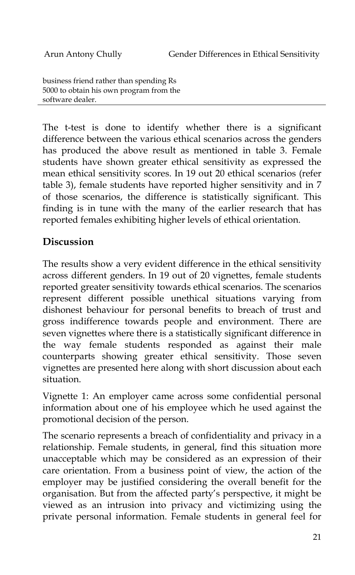business friend rather than spending Rs 5000 to obtain his own program from the software dealer.

The t-test is done to identify whether there is a significant difference between the various ethical scenarios across the genders has produced the above result as mentioned in table 3. Female students have shown greater ethical sensitivity as expressed the mean ethical sensitivity scores. In 19 out 20 ethical scenarios (refer table 3), female students have reported higher sensitivity and in 7 of those scenarios, the difference is statistically significant. This finding is in tune with the many of the earlier research that has reported females exhibiting higher levels of ethical orientation.

#### **Discussion**

The results show a very evident difference in the ethical sensitivity across different genders. In 19 out of 20 vignettes, female students reported greater sensitivity towards ethical scenarios. The scenarios represent different possible unethical situations varying from dishonest behaviour for personal benefits to breach of trust and gross indifference towards people and environment. There are seven vignettes where there is a statistically significant difference in the way female students responded as against their male counterparts showing greater ethical sensitivity. Those seven vignettes are presented here along with short discussion about each situation.

Vignette 1: An employer came across some confidential personal information about one of his employee which he used against the promotional decision of the person.

The scenario represents a breach of confidentiality and privacy in a relationship. Female students, in general, find this situation more unacceptable which may be considered as an expression of their care orientation. From a business point of view, the action of the employer may be justified considering the overall benefit for the organisation. But from the affected party"s perspective, it might be viewed as an intrusion into privacy and victimizing using the private personal information. Female students in general feel for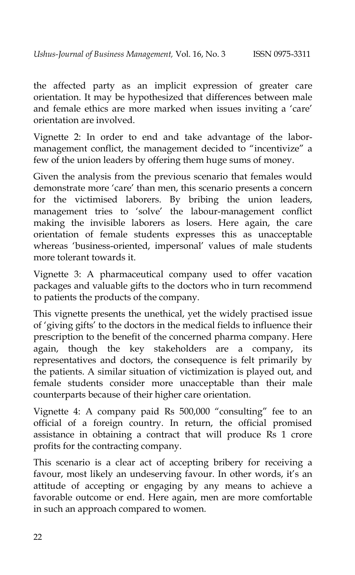the affected party as an implicit expression of greater care orientation. It may be hypothesized that differences between male and female ethics are more marked when issues inviting a 'care' orientation are involved.

Vignette 2: In order to end and take advantage of the labormanagement conflict, the management decided to "incentivize" a few of the union leaders by offering them huge sums of money.

Given the analysis from the previous scenario that females would demonstrate more 'care' than men, this scenario presents a concern for the victimised laborers. By bribing the union leaders, management tries to "solve" the labour-management conflict making the invisible laborers as losers. Here again, the care orientation of female students expresses this as unacceptable whereas 'business-oriented, impersonal' values of male students more tolerant towards it.

Vignette 3: A pharmaceutical company used to offer vacation packages and valuable gifts to the doctors who in turn recommend to patients the products of the company.

This vignette presents the unethical, yet the widely practised issue of "giving gifts" to the doctors in the medical fields to influence their prescription to the benefit of the concerned pharma company. Here again, though the key stakeholders are a company, its representatives and doctors, the consequence is felt primarily by the patients. A similar situation of victimization is played out, and female students consider more unacceptable than their male counterparts because of their higher care orientation.

Vignette 4: A company paid Rs 500,000 "consulting" fee to an official of a foreign country. In return, the official promised assistance in obtaining a contract that will produce Rs 1 crore profits for the contracting company.

This scenario is a clear act of accepting bribery for receiving a favour, most likely an undeserving favour. In other words, it's an attitude of accepting or engaging by any means to achieve a favorable outcome or end. Here again, men are more comfortable in such an approach compared to women.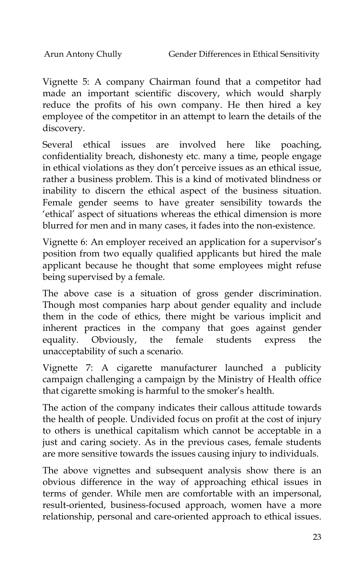Vignette 5: A company Chairman found that a competitor had made an important scientific discovery, which would sharply reduce the profits of his own company. He then hired a key employee of the competitor in an attempt to learn the details of the discovery.

Several ethical issues are involved here like poaching, confidentiality breach, dishonesty etc. many a time, people engage in ethical violations as they don"t perceive issues as an ethical issue, rather a business problem. This is a kind of motivated blindness or inability to discern the ethical aspect of the business situation. Female gender seems to have greater sensibility towards the 'ethical' aspect of situations whereas the ethical dimension is more blurred for men and in many cases, it fades into the non-existence.

Vignette 6: An employer received an application for a supervisor's position from two equally qualified applicants but hired the male applicant because he thought that some employees might refuse being supervised by a female.

The above case is a situation of gross gender discrimination. Though most companies harp about gender equality and include them in the code of ethics, there might be various implicit and inherent practices in the company that goes against gender equality. Obviously, the female students express the unacceptability of such a scenario.

Vignette 7: A cigarette manufacturer launched a publicity campaign challenging a campaign by the Ministry of Health office that cigarette smoking is harmful to the smoker's health.

The action of the company indicates their callous attitude towards the health of people. Undivided focus on profit at the cost of injury to others is unethical capitalism which cannot be acceptable in a just and caring society. As in the previous cases, female students are more sensitive towards the issues causing injury to individuals.

The above vignettes and subsequent analysis show there is an obvious difference in the way of approaching ethical issues in terms of gender. While men are comfortable with an impersonal, result-oriented, business-focused approach, women have a more relationship, personal and care-oriented approach to ethical issues.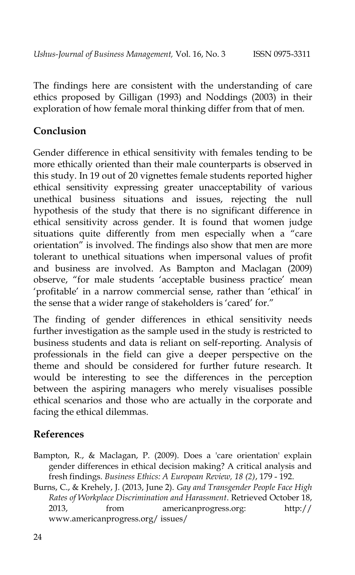The findings here are consistent with the understanding of care ethics proposed by Gilligan (1993) and Noddings (2003) in their exploration of how female moral thinking differ from that of men.

### **Conclusion**

Gender difference in ethical sensitivity with females tending to be more ethically oriented than their male counterparts is observed in this study. In 19 out of 20 vignettes female students reported higher ethical sensitivity expressing greater unacceptability of various unethical business situations and issues, rejecting the null hypothesis of the study that there is no significant difference in ethical sensitivity across gender. It is found that women judge situations quite differently from men especially when a "care orientation" is involved. The findings also show that men are more tolerant to unethical situations when impersonal values of profit and business are involved. As Bampton and Maclagan (2009) observe, "for male students 'acceptable business practice' mean "profitable" in a narrow commercial sense, rather than "ethical" in the sense that a wider range of stakeholders is 'cared' for."

The finding of gender differences in ethical sensitivity needs further investigation as the sample used in the study is restricted to business students and data is reliant on self-reporting. Analysis of professionals in the field can give a deeper perspective on the theme and should be considered for further future research. It would be interesting to see the differences in the perception between the aspiring managers who merely visualises possible ethical scenarios and those who are actually in the corporate and facing the ethical dilemmas.

#### **References**

- Bampton, R., & Maclagan, P. (2009). Does a 'care orientation' explain gender differences in ethical decision making? A critical analysis and fresh findings. *Business Ethics: A European Review, 18 (2)*, 179 - 192.
- Burns, C., & Krehely, J. (2013, June 2). *Gay and Transgender People Face High Rates of Workplace Discrimination and Harassment*. Retrieved October 18, 2013, from americanprogress.org: http:// www.americanprogress.org/ issues/